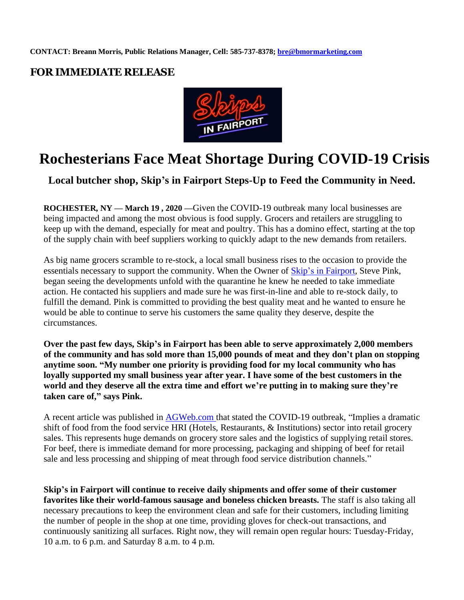## **FOR IMMEDIATE RELEASE**



## **Rochesterians Face Meat Shortage During COVID-19 Crisis**

**Local butcher shop, Skip's in Fairport Steps-Up to Feed the Community in Need.**

**ROCHESTER, NY — March 19 , 2020 —**Given the COVID-19 outbreak many local businesses are being impacted and among the most obvious is food supply. Grocers and retailers are struggling to keep up with the demand, especially for meat and poultry. This has a domino effect, starting at the top of the supply chain with beef suppliers working to quickly adapt to the new demands from retailers.

As big name grocers scramble to re-stock, a local small business rises to the occasion to provide the essentials necessary to support the community. When the Owner of [Skip's in Fairport,](https://www.skipsfairport.com/) Steve Pink, began seeing the developments unfold with the quarantine he knew he needed to take immediate action. He contacted his suppliers and made sure he was first-in-line and able to re-stock daily, to fulfill the demand. Pink is committed to providing the best quality meat and he wanted to ensure he would be able to continue to serve his customers the same quality they deserve, despite the circumstances.

**Over the past few days, Skip's in Fairport has been able to serve approximately 2,000 members of the community and has sold more than 15,000 pounds of meat and they don't plan on stopping anytime soon. "My number one priority is providing food for my local community who has loyally supported my small business year after year. I have some of the best customers in the world and they deserve all the extra time and effort we're putting in to making sure they're taken care of," says Pink.**

A recent article was published in [AGWeb.com](https://www.agweb.com/article/derrell-peel-beef-supply-chains-affected-covid-19) that stated the COVID-19 outbreak, "Implies a dramatic shift of food from the food service HRI (Hotels, Restaurants, & Institutions) sector into retail grocery sales. This represents huge demands on grocery store sales and the logistics of supplying retail stores. For beef, there is immediate demand for more processing, packaging and shipping of beef for retail sale and less processing and shipping of meat through food service distribution channels."

**Skip's in Fairport will continue to receive daily shipments and offer some of their customer favorites like their world-famous sausage and boneless chicken breasts.** The staff is also taking all necessary precautions to keep the environment clean and safe for their customers, including limiting the number of people in the shop at one time, providing gloves for check-out transactions, and continuously sanitizing all surfaces. Right now, they will remain open regular hours: Tuesday-Friday, 10 a.m. to 6 p.m. and Saturday 8 a.m. to 4 p.m.